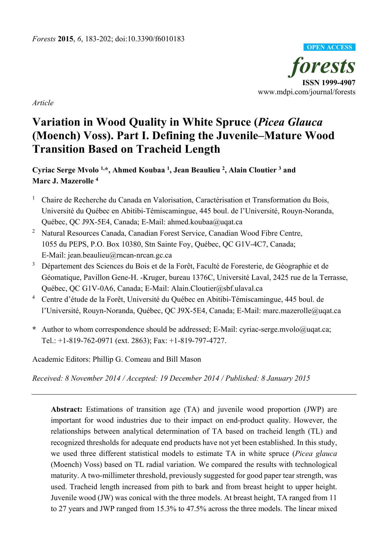

*Article*

# **Variation in Wood Quality in White Spruce (***Picea Glauca* **(Moench) Voss). Part I. Defining the Juvenile–Mature Wood Transition Based on Tracheid Length**

**Cyriac Serge Mvolo 1, \*, Ahmed Koubaa 1 , Jean Beaulieu 2 , Alain Cloutier 3 and Marc J. Mazerolle 4**

- <sup>1</sup> Chaire de Recherche du Canada en Valorisation, Caractérisation et Transformation du Bois, Université du Québec en Abitibi-Témiscamingue, 445 boul. de l'Université, Rouyn-Noranda, Québec, QC J9X-5E4, Canada; E-Mail: ahmed.koubaa@uqat.ca
- <sup>2</sup> Natural Resources Canada, Canadian Forest Service, Canadian Wood Fibre Centre, 1055 du PEPS, P.O. Box 10380, Stn Sainte Foy, Québec, QC G1V-4C7, Canada; E-Mail: jean.beaulieu@rncan-nrcan.gc.ca
- <sup>3</sup> Département des Sciences du Bois et de la Forêt, Faculté de Foresterie, de Géographie et de Géomatique, Pavillon Gene-H. -Kruger, bureau 1376C, Université Laval, 2425 rue de la Terrasse, Québec, QC G1V-0A6, Canada; E-Mail: Alain.Cloutier@sbf.ulaval.ca
- <sup>4</sup> Centre d'étude de la Forêt, Université du Québec en Abitibi-Témiscamingue, 445 boul. de l'Université, Rouyn-Noranda, Québec, QC J9X-5E4, Canada; E-Mail: marc.mazerolle@uqat.ca
- **\*** Author to whom correspondence should be addressed; E-Mail: cyriac-serge.mvolo@uqat.ca; Tel.: +1-819-762-0971 (ext. 2863); Fax: +1-819-797-4727.

Academic Editors: Phillip G. Comeau and Bill Mason

*Received: 8 November 2014 / Accepted: 19 December 2014 / Published: 8 January 2015* 

**Abstract:** Estimations of transition age (TA) and juvenile wood proportion (JWP) are important for wood industries due to their impact on end-product quality. However, the relationships between analytical determination of TA based on tracheid length (TL) and recognized thresholds for adequate end products have not yet been established. In this study, we used three different statistical models to estimate TA in white spruce (*Picea glauca* (Moench) Voss) based on TL radial variation. We compared the results with technological maturity. A two-millimeter threshold, previously suggested for good paper tear strength, was used. Tracheid length increased from pith to bark and from breast height to upper height. Juvenile wood (JW) was conical with the three models. At breast height, TA ranged from 11 to 27 years and JWP ranged from 15.3% to 47.5% across the three models. The linear mixed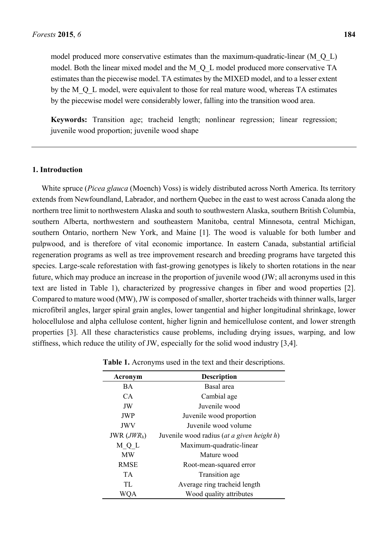model produced more conservative estimates than the maximum-quadratic-linear  $(M_0_0 L)$ model. Both the linear mixed model and the M\_Q\_L model produced more conservative TA estimates than the piecewise model. TA estimates by the MIXED model, and to a lesser extent by the M\_O\_L model, were equivalent to those for real mature wood, whereas TA estimates by the piecewise model were considerably lower, falling into the transition wood area.

**Keywords:** Transition age; tracheid length; nonlinear regression; linear regression; juvenile wood proportion; juvenile wood shape

### **1. Introduction**

White spruce (*Picea glauca* (Moench) Voss) is widely distributed across North America. Its territory extends from Newfoundland, Labrador, and northern Quebec in the east to west across Canada along the northern tree limit to northwestern Alaska and south to southwestern Alaska, southern British Columbia, southern Alberta, northwestern and southeastern Manitoba, central Minnesota, central Michigan, southern Ontario, northern New York, and Maine [1]. The wood is valuable for both lumber and pulpwood, and is therefore of vital economic importance. In eastern Canada, substantial artificial regeneration programs as well as tree improvement research and breeding programs have targeted this species. Large-scale reforestation with fast-growing genotypes is likely to shorten rotations in the near future, which may produce an increase in the proportion of juvenile wood (JW; all acronyms used in this text are listed in Table 1), characterized by progressive changes in fiber and wood properties [2]. Compared to mature wood (MW), JW is composed of smaller, shorter tracheids with thinner walls, larger microfibril angles, larger spiral grain angles, lower tangential and higher longitudinal shrinkage, lower holocellulose and alpha cellulose content, higher lignin and hemicellulose content, and lower strength properties [3]. All these characteristics cause problems, including drying issues, warping, and low stiffness, which reduce the utility of JW, especially for the solid wood industry [3,4].

| Acronym       | <b>Description</b>                         |
|---------------|--------------------------------------------|
| <b>BA</b>     | Basal area                                 |
| CA.           | Cambial age                                |
| JW            | Juvenile wood                              |
| <b>JWP</b>    | Juvenile wood proportion                   |
| <b>JWV</b>    | Juvenile wood volume                       |
| JWR $(JWR_h)$ | Juvenile wood radius (at a given height h) |
| M Q L         | Maximum-quadratic-linear                   |
| <b>MW</b>     | Mature wood                                |
| RMSE          | Root-mean-squared error                    |
| <b>TA</b>     | Transition age                             |
| TL            | Average ring tracheid length               |
|               | Wood quality attributes                    |

| <b>Table 1.</b> Acronyms used in the text and their descriptions. |  |  |  |
|-------------------------------------------------------------------|--|--|--|
|-------------------------------------------------------------------|--|--|--|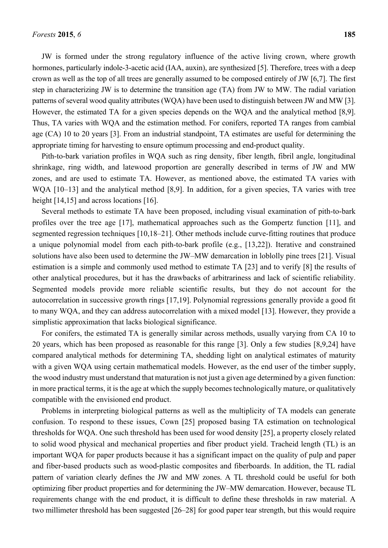JW is formed under the strong regulatory influence of the active living crown, where growth hormones, particularly indole-3-acetic acid (IAA, auxin), are synthesized [5]. Therefore, trees with a deep crown as well as the top of all trees are generally assumed to be composed entirely of JW [6,7]. The first step in characterizing JW is to determine the transition age (TA) from JW to MW. The radial variation patterns of several wood quality attributes (WQA) have been used to distinguish between JW and MW [3]. However, the estimated TA for a given species depends on the WQA and the analytical method [8,9]. Thus, TA varies with WQA and the estimation method. For conifers, reported TA ranges from cambial age (CA) 10 to 20 years [3]. From an industrial standpoint, TA estimates are useful for determining the appropriate timing for harvesting to ensure optimum processing and end-product quality.

Pith-to-bark variation profiles in WQA such as ring density, fiber length, fibril angle, longitudinal shrinkage, ring width, and latewood proportion are generally described in terms of JW and MW zones, and are used to estimate TA. However, as mentioned above, the estimated TA varies with WQA [10–13] and the analytical method [8,9]. In addition, for a given species, TA varies with tree height [14,15] and across locations [16].

Several methods to estimate TA have been proposed, including visual examination of pith-to-bark profiles over the tree age [17], mathematical approaches such as the Gompertz function [11], and segmented regression techniques [10,18–21]. Other methods include curve-fitting routines that produce a unique polynomial model from each pith-to-bark profile (e.g., [13,22]). Iterative and constrained solutions have also been used to determine the JW–MW demarcation in loblolly pine trees [21]. Visual estimation is a simple and commonly used method to estimate TA [23] and to verify [8] the results of other analytical procedures, but it has the drawbacks of arbitrariness and lack of scientific reliability. Segmented models provide more reliable scientific results, but they do not account for the autocorrelation in successive growth rings [17,19]. Polynomial regressions generally provide a good fit to many WQA, and they can address autocorrelation with a mixed model [13]. However, they provide a simplistic approximation that lacks biological significance.

For conifers, the estimated TA is generally similar across methods, usually varying from CA 10 to 20 years, which has been proposed as reasonable for this range [3]. Only a few studies [8,9,24] have compared analytical methods for determining TA, shedding light on analytical estimates of maturity with a given WQA using certain mathematical models. However, as the end user of the timber supply, the wood industry must understand that maturation is not just a given age determined by a given function: in more practical terms, it is the age at which the supply becomes technologically mature, or qualitatively compatible with the envisioned end product.

Problems in interpreting biological patterns as well as the multiplicity of TA models can generate confusion. To respond to these issues, Cown [25] proposed basing TA estimation on technological thresholds for WQA. One such threshold has been used for wood density [25], a property closely related to solid wood physical and mechanical properties and fiber product yield. Tracheid length (TL) is an important WQA for paper products because it has a significant impact on the quality of pulp and paper and fiber-based products such as wood-plastic composites and fiberboards. In addition, the TL radial pattern of variation clearly defines the JW and MW zones. A TL threshold could be useful for both optimizing fiber product properties and for determining the JW–MW demarcation. However, because TL requirements change with the end product, it is difficult to define these thresholds in raw material. A two millimeter threshold has been suggested [26–28] for good paper tear strength, but this would require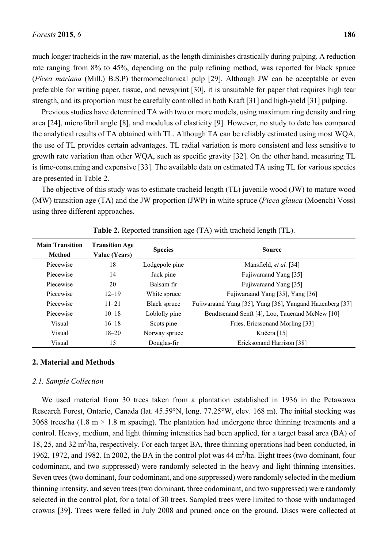much longer tracheids in the raw material, as the length diminishes drastically during pulping. A reduction rate ranging from 8% to 45%, depending on the pulp refining method, was reported for black spruce (*Picea mariana* (Mill.) B.S.P) thermomechanical pulp [29]. Although JW can be acceptable or even preferable for writing paper, tissue, and newsprint [30], it is unsuitable for paper that requires high tear strength, and its proportion must be carefully controlled in both Kraft [31] and high-yield [31] pulping.

Previous studies have determined TA with two or more models, using maximum ring density and ring area [24], microfibril angle [8], and modulus of elasticity [9]. However, no study to date has compared the analytical results of TA obtained with TL. Although TA can be reliably estimated using most WQA, the use of TL provides certain advantages. TL radial variation is more consistent and less sensitive to growth rate variation than other WQA, such as specific gravity [32]. On the other hand, measuring TL is time-consuming and expensive [33]. The available data on estimated TA using TL for various species are presented in Table 2.

The objective of this study was to estimate tracheid length (TL) juvenile wood (JW) to mature wood (MW) transition age (TA) and the JW proportion (JWP) in white spruce (*Picea glauca* (Moench) Voss) using three different approaches.

| <b>Main Transition</b><br><b>Method</b> | <b>Transition Age</b><br>Value (Years) | <b>Species</b> | <b>Source</b>                                            |
|-----------------------------------------|----------------------------------------|----------------|----------------------------------------------------------|
|                                         |                                        |                |                                                          |
| Piecewise                               | 18                                     | Lodgepole pine | Mansfield, <i>et al.</i> [34]                            |
| Piecewise                               | 14                                     | Jack pine      | Fujiwaraand Yang [35]                                    |
| Piecewise                               | 20                                     | Balsam fir     | Fujiwaraand Yang [35]                                    |
| Piecewise                               | $12 - 19$                              | White spruce   | Fujiwaraand Yang [35], Yang [36]                         |
| Piecewise                               | $11 - 21$                              | Black spruce   | Fujiwaraand Yang [35], Yang [36], Yangand Hazenberg [37] |
| Piecewise                               | $10 - 18$                              | Loblolly pine  | Bendtsenand Senft [4], Loo, Tauerand McNew [10]          |
| Visual                                  | $16 - 18$                              | Scots pine     | Fries, Ericssonand Morling [33]                          |
| Visual                                  | $18 - 20$                              | Norway spruce  | Kučera [15]                                              |
| Visual                                  | 15                                     | Douglas-fir    | Ericksonand Harrison [38]                                |

# **Table 2.** Reported transition age (TA) with tracheid length (TL).

#### **2. Material and Methods**

#### *2.1. Sample Collection*

We used material from 30 trees taken from a plantation established in 1936 in the Petawawa Research Forest, Ontario, Canada (lat. 45.59°N, long. 77.25°W, elev. 168 m). The initial stocking was 3068 trees/ha (1.8 m  $\times$  1.8 m spacing). The plantation had undergone three thinning treatments and a control. Heavy, medium, and light thinning intensities had been applied, for a target basal area (BA) of 18, 25, and 32 m<sup>2</sup>/ha, respectively. For each target BA, three thinning operations had been conducted, in 1962, 1972, and 1982. In 2002, the BA in the control plot was 44 m<sup>2</sup>/ha. Eight trees (two dominant, four codominant, and two suppressed) were randomly selected in the heavy and light thinning intensities. Seven trees (two dominant, four codominant, and one suppressed) were randomly selected in the medium thinning intensity, and seven trees (two dominant, three codominant, and two suppressed) were randomly selected in the control plot, for a total of 30 trees. Sampled trees were limited to those with undamaged crowns [39]. Trees were felled in July 2008 and pruned once on the ground. Discs were collected at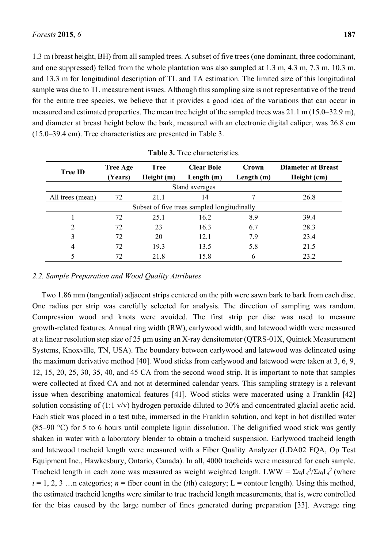1.3 m (breast height, BH) from all sampled trees. A subset of five trees (one dominant, three codominant, and one suppressed) felled from the whole plantation was also sampled at 1.3 m, 4.3 m, 7.3 m, 10.3 m, and 13.3 m for longitudinal description of TL and TA estimation. The limited size of this longitudinal sample was due to TL measurement issues. Although this sampling size is not representative of the trend for the entire tree species, we believe that it provides a good idea of the variations that can occur in measured and estimated properties. The mean tree height of the sampled trees was 21.1 m (15.0–32.9 m), and diameter at breast height below the bark, measured with an electronic digital caliper, was 26.8 cm (15.0–39.4 cm). Tree characteristics are presented in Table 3.

| <b>Tree ID</b>   | <b>Tree Age</b><br>(Years)                  | <b>Tree</b><br>Height (m) | <b>Clear Bole</b><br>Length $(m)$ | Crown<br>Length (m) | <b>Diameter at Breast</b><br>Height (cm) |  |  |  |
|------------------|---------------------------------------------|---------------------------|-----------------------------------|---------------------|------------------------------------------|--|--|--|
|                  |                                             |                           | Stand averages                    |                     |                                          |  |  |  |
| All trees (mean) | 72                                          | 21.1                      | 14                                |                     | 26.8                                     |  |  |  |
|                  | Subset of five trees sampled longitudinally |                           |                                   |                     |                                          |  |  |  |
|                  | 72                                          | 25.1                      | 16.2                              | 8.9                 | 39.4                                     |  |  |  |
| $\overline{2}$   | 72                                          | 23                        | 16.3                              | 6.7                 | 28.3                                     |  |  |  |
| 3                | 72                                          | 20                        | 12.1                              | 7.9                 | 23.4                                     |  |  |  |
| $\overline{4}$   | 72                                          | 19.3                      | 13.5                              | 5.8                 | 21.5                                     |  |  |  |
| 5                | 72                                          | 21.8                      | 15.8                              | 6                   | 23.2                                     |  |  |  |

|  | Table 3. Tree characteristics. |
|--|--------------------------------|
|--|--------------------------------|

# *2.2. Sample Preparation and Wood Quality Attributes*

Two 1.86 mm (tangential) adjacent strips centered on the pith were sawn bark to bark from each disc. One radius per strip was carefully selected for analysis. The direction of sampling was random. Compression wood and knots were avoided. The first strip per disc was used to measure growth-related features. Annual ring width (RW), earlywood width, and latewood width were measured at a linear resolution step size of 25 um using an X-ray densitometer (OTRS-01X, Quintek Measurement Systems, Knoxville, TN, USA). The boundary between earlywood and latewood was delineated using the maximum derivative method [40]. Wood sticks from earlywood and latewood were taken at 3, 6, 9, 12, 15, 20, 25, 30, 35, 40, and 45 CA from the second wood strip. It is important to note that samples were collected at fixed CA and not at determined calendar years. This sampling strategy is a relevant issue when describing anatomical features [41]. Wood sticks were macerated using a Franklin [42] solution consisting of (1:1 v/v) hydrogen peroxide diluted to 30% and concentrated glacial acetic acid. Each stick was placed in a test tube, immersed in the Franklin solution, and kept in hot distilled water (85–90 °C) for 5 to 6 hours until complete lignin dissolution. The delignified wood stick was gently shaken in water with a laboratory blender to obtain a tracheid suspension. Earlywood tracheid length and latewood tracheid length were measured with a Fiber Quality Analyzer (LDA02 FQA, Op Test Equipment Inc., Hawkesbury, Ontario, Canada). In all, 4000 tracheids were measured for each sample. Tracheid length in each zone was measured as weight weighted length. LWW =  $\sum n_i L_i^3 / \sum n_i L_i^2$  (where  $i = 1, 2, 3, \ldots$  categories;  $n =$  fiber count in the *(i*th) category;  $L =$  contour length). Using this method, the estimated tracheid lengths were similar to true tracheid length measurements, that is, were controlled for the bias caused by the large number of fines generated during preparation [33]. Average ring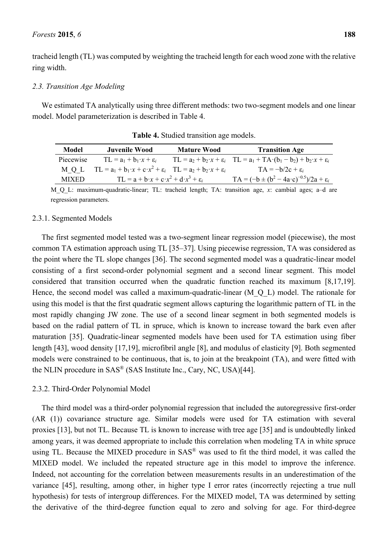tracheid length (TL) was computed by weighting the tracheid length for each wood zone with the relative ring width.

### *2.3. Transition Age Modeling*

We estimated TA analytically using three different methods: two two-segment models and one linear model. Model parameterization is described in Table 4.

| Model        | Juvenile Wood                                                                                   | <b>Mature Wood</b> | <b>Transition Age</b>                                                                                    |
|--------------|-------------------------------------------------------------------------------------------------|--------------------|----------------------------------------------------------------------------------------------------------|
| Piecewise    | $TL = a_1 + b_1 \cdot x + \varepsilon_i$                                                        |                    | $TL = a_2 + b_2 \cdot x + \varepsilon_i$ $TL = a_1 + TA \cdot (b_1 - b_2) + b_2 \cdot x + \varepsilon_i$ |
| MOL.         | $TL = a_1 + b_1 \cdot x + c \cdot x^2 + \varepsilon_i$ $TL = a_2 + b_2 \cdot x + \varepsilon_i$ |                    | $TA = -b/2c + \varepsilon$                                                                               |
| <b>MIXED</b> | $TL = a + b \cdot x + c \cdot x^2 + d \cdot x^3 + \varepsilon_i$                                |                    | $TA = (-b \pm (b^2 - 4a \cdot c)^{-0.5})/2a + \varepsilon_i$                                             |

**Table 4.** Studied transition age models.

M<sub>Q</sub> L: maximum-quadratic-linear; TL: tracheid length; TA: transition age, *x*: cambial ages; a–d are regression parameters.

### 2.3.1. Segmented Models

The first segmented model tested was a two-segment linear regression model (piecewise), the most common TA estimation approach using TL [35–37]. Using piecewise regression, TA was considered as the point where the TL slope changes [36]. The second segmented model was a quadratic-linear model consisting of a first second-order polynomial segment and a second linear segment. This model considered that transition occurred when the quadratic function reached its maximum [8,17,19]. Hence, the second model was called a maximum-quadratic-linear (M\_Q\_L) model. The rationale for using this model is that the first quadratic segment allows capturing the logarithmic pattern of TL in the most rapidly changing JW zone. The use of a second linear segment in both segmented models is based on the radial pattern of TL in spruce, which is known to increase toward the bark even after maturation [35]. Quadratic-linear segmented models have been used for TA estimation using fiber length [43], wood density [17,19], microfibril angle [8], and modulus of elasticity [9]. Both segmented models were constrained to be continuous, that is, to join at the breakpoint (TA), and were fitted with the NLIN procedure in SAS® (SAS Institute Inc., Cary, NC, USA)[44].

### 2.3.2. Third-Order Polynomial Model

The third model was a third-order polynomial regression that included the autoregressive first-order (AR (1)) covariance structure age. Similar models were used for TA estimation with several proxies [13], but not TL. Because TL is known to increase with tree age [35] and is undoubtedly linked among years, it was deemed appropriate to include this correlation when modeling TA in white spruce using TL. Because the MIXED procedure in SAS® was used to fit the third model, it was called the MIXED model. We included the repeated structure age in this model to improve the inference. Indeed, not accounting for the correlation between measurements results in an underestimation of the variance [45], resulting, among other, in higher type I error rates (incorrectly rejecting a true null hypothesis) for tests of intergroup differences. For the MIXED model, TA was determined by setting the derivative of the third-degree function equal to zero and solving for age. For third-degree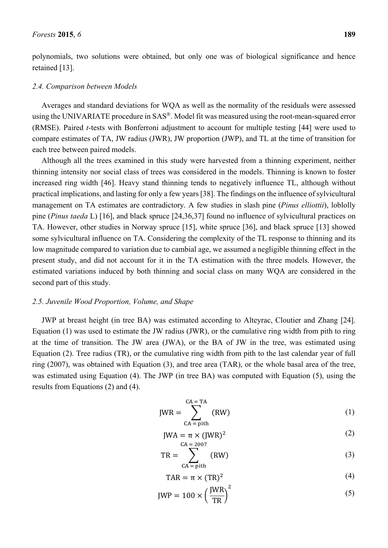polynomials, two solutions were obtained, but only one was of biological significance and hence retained [13].

#### *2.4. Comparison between Models*

Averages and standard deviations for WQA as well as the normality of the residuals were assessed using the UNIVARIATE procedure in SAS®. Model fit was measured using the root-mean-squared error (RMSE). Paired *t*-tests with Bonferroni adjustment to account for multiple testing [44] were used to compare estimates of TA, JW radius (JWR), JW proportion (JWP), and TL at the time of transition for each tree between paired models.

Although all the trees examined in this study were harvested from a thinning experiment, neither thinning intensity nor social class of trees was considered in the models. Thinning is known to foster increased ring width [46]. Heavy stand thinning tends to negatively influence TL, although without practical implications, and lasting for only a few years [38]. The findings on the influence of sylvicultural management on TA estimates are contradictory. A few studies in slash pine (*Pinus elliottii*), loblolly pine (*Pinus taeda* L) [16], and black spruce [24,36,37] found no influence of sylvicultural practices on TA. However, other studies in Norway spruce [15], white spruce [36], and black spruce [13] showed some sylvicultural influence on TA. Considering the complexity of the TL response to thinning and its low magnitude compared to variation due to cambial age, we assumed a negligible thinning effect in the present study, and did not account for it in the TA estimation with the three models. However, the estimated variations induced by both thinning and social class on many WQA are considered in the second part of this study.

# *2.5. Juvenile Wood Proportion, Volume, and Shape*

JWP at breast height (in tree BA) was estimated according to Alteyrac, Cloutier and Zhang [24]. Equation (1) was used to estimate the JW radius (JWR), or the cumulative ring width from pith to ring at the time of transition. The JW area (JWA), or the BA of JW in the tree, was estimated using Equation (2). Tree radius (TR), or the cumulative ring width from pith to the last calendar year of full ring (2007), was obtained with Equation (3), and tree area (TAR), or the whole basal area of the tree, was estimated using Equation (4). The JWP (in tree BA) was computed with Equation (5), using the results from Equations (2) and (4).

$$
JWR = \sum_{\text{CA} = \text{pith}}^{\text{CA} = \text{TA}} (RW)
$$
 (1)

$$
JWA = \pi \times (JWR)^2
$$
\n
$$
CA = 2007
$$
\n(2)

$$
TR = \sum_{\text{CA = pith}} (\text{RW}) \tag{3}
$$

$$
TAR = \pi \times (TR)^2 \tag{4}
$$

$$
JWP = 100 \times \left(\frac{JWR}{TR}\right)^2\tag{5}
$$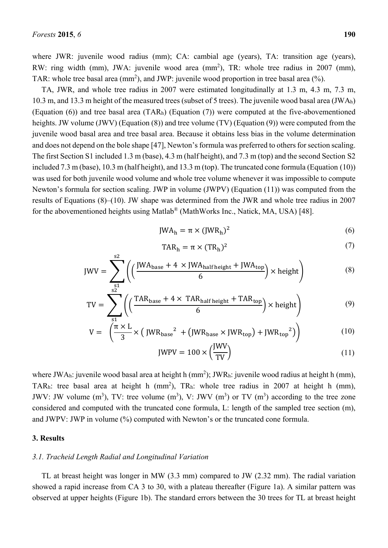where JWR: juvenile wood radius (mm); CA: cambial age (years), TA: transition age (years), RW: ring width (mm), JWA: juvenile wood area (mm<sup>2</sup>), TR: whole tree radius in 2007 (mm), TAR: whole tree basal area (mm<sup>2</sup>), and JWP: juvenile wood proportion in tree basal area  $(\%)$ .

TA, JWR, and whole tree radius in 2007 were estimated longitudinally at 1.3 m, 4.3 m, 7.3 m, 10.3 m, and 13.3 m height of the measured trees (subset of 5 trees). The juvenile wood basal area (JWAh) (Equation (6)) and tree basal area (TARh) (Equation (7)) were computed at the five-abovementioned heights. JW volume (JWV) (Equation (8)) and tree volume (TV) (Equation (9)) were computed from the juvenile wood basal area and tree basal area. Because it obtains less bias in the volume determination and does not depend on the bole shape [47], Newton's formula was preferred to others for section scaling. The first Section S1 included 1.3 m (base), 4.3 m (half height), and 7.3 m (top) and the second Section S2 included 7.3 m (base), 10.3 m (half height), and 13.3 m (top). The truncated cone formula (Equation (10)) was used for both juvenile wood volume and whole tree volume whenever it was impossible to compute Newton's formula for section scaling. JWP in volume (JWPV) (Equation (11)) was computed from the results of Equations (8)–(10). JW shape was determined from the JWR and whole tree radius in 2007 for the abovementioned heights using Matlab® (MathWorks Inc., Natick, MA, USA) [48].

$$
JWA_h = \pi \times (JWR_h)^2
$$
 (6)

$$
TAR_h = \pi \times (TR_h)^2 \tag{7}
$$

$$
JWV = \sum_{s1}^{s2} \left( \left( \frac{JWA_{base} + 4 \times JWA_{half height} + JWA_{top}}{6} \right) \times height \right) \tag{8}
$$

$$
TV = \sum_{s1}^{s2} \left( \left( \frac{TAR_{base} + 4 \times TAR_{half height} + TAR_{top}}{6} \right) \times height \right)
$$
 (9)

$$
V = \left(\frac{\pi \times L}{3} \times \left( \text{ JWR}_{\text{base}}^2 + \left( \text{JWR}_{\text{base}} \times \text{JWR}_{\text{top}} \right) + \text{JWR}_{\text{top}}^2 \right) \right) \tag{10}
$$

$$
JWPV = 100 \times \left(\frac{JWV}{TV}\right) \tag{11}
$$

where JWA<sub>h</sub>: juvenile wood basal area at height h  $(mm^2)$ ; JWR<sub>h</sub>: juvenile wood radius at height h  $(mm)$ , TAR<sub>h</sub>: tree basal area at height h (mm<sup>2</sup>), TR<sub>h</sub>: whole tree radius in 2007 at height h (mm), JWV: JW volume  $(m^3)$ , TV: tree volume  $(m^3)$ , V: JWV  $(m^3)$  or TV  $(m^3)$  according to the tree zone considered and computed with the truncated cone formula, L: length of the sampled tree section (m), and JWPV: JWP in volume (%) computed with Newton's or the truncated cone formula.

### **3. Results**

### *3.1. Tracheid Length Radial and Longitudinal Variation*

TL at breast height was longer in MW (3.3 mm) compared to JW (2.32 mm). The radial variation showed a rapid increase from CA 3 to 30, with a plateau thereafter (Figure 1a). A similar pattern was observed at upper heights (Figure 1b). The standard errors between the 30 trees for TL at breast height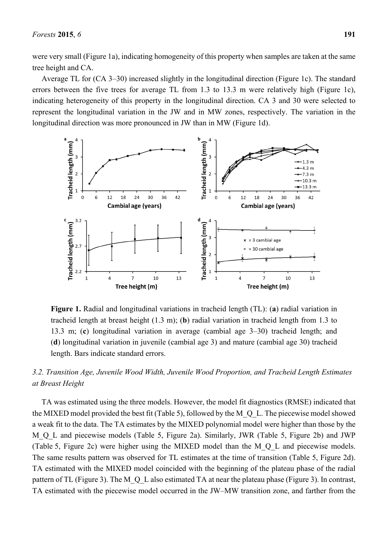were very small (Figure 1a), indicating homogeneity of this property when samples are taken at the same tree height and CA.

Average TL for (CA 3–30) increased slightly in the longitudinal direction (Figure 1c). The standard errors between the five trees for average TL from 1.3 to 13.3 m were relatively high (Figure 1c), indicating heterogeneity of this property in the longitudinal direction. CA 3 and 30 were selected to represent the longitudinal variation in the JW and in MW zones, respectively. The variation in the longitudinal direction was more pronounced in JW than in MW (Figure 1d).



**Figure 1.** Radial and longitudinal variations in tracheid length (TL): (**a**) radial variation in tracheid length at breast height (1.3 m); (**b**) radial variation in tracheid length from 1.3 to 13.3 m; (**c**) longitudinal variation in average (cambial age 3–30) tracheid length; and (**d**) longitudinal variation in juvenile (cambial age 3) and mature (cambial age 30) tracheid length. Bars indicate standard errors.

# *3.2. Transition Age, Juvenile Wood Width, Juvenile Wood Proportion, and Tracheid Length Estimates at Breast Height*

TA was estimated using the three models. However, the model fit diagnostics (RMSE) indicated that the MIXED model provided the best fit (Table 5), followed by the M\_Q\_L. The piecewise model showed a weak fit to the data. The TA estimates by the MIXED polynomial model were higher than those by the M<sub>Q</sub> L and piecewise models (Table 5, Figure 2a). Similarly, JWR (Table 5, Figure 2b) and JWP (Table 5, Figure 2c) were higher using the MIXED model than the M\_Q\_L and piecewise models. The same results pattern was observed for TL estimates at the time of transition (Table 5, Figure 2d). TA estimated with the MIXED model coincided with the beginning of the plateau phase of the radial pattern of TL (Figure 3). The M Q L also estimated TA at near the plateau phase (Figure 3). In contrast, TA estimated with the piecewise model occurred in the JW–MW transition zone, and farther from the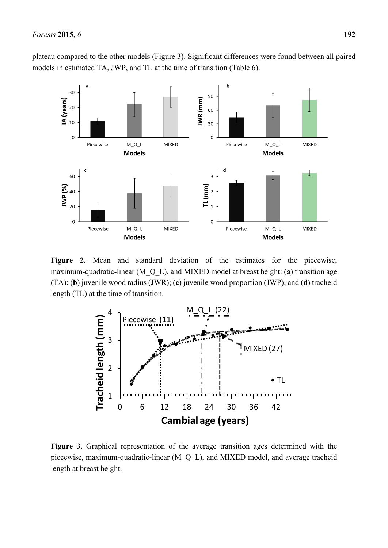plateau compared to the other models (Figure 3). Significant differences were found between all paired models in estimated TA, JWP, and TL at the time of transition (Table 6).



Figure 2. Mean and standard deviation of the estimates for the piecewise, maximum-quadratic-linear (M\_Q\_L), and MIXED model at breast height: (**a**) transition age (TA); (**b**) juvenile wood radius (JWR); (**c**) juvenile wood proportion (JWP); and (**d**) tracheid length (TL) at the time of transition.



**Figure 3.** Graphical representation of the average transition ages determined with the piecewise, maximum-quadratic-linear (M\_Q\_L), and MIXED model, and average tracheid length at breast height.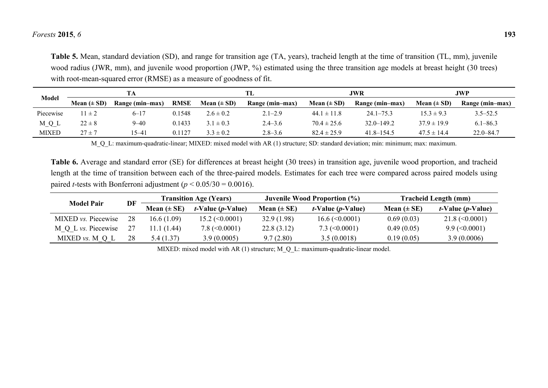### *Forests* **2015**, *6* **193**

**Table 5.** Mean, standard deviation (SD), and range for transition age (TA, years), tracheid length at the time of transition (TL, mm), juvenile wood radius (JWR, mm), and juvenile wood proportion (JWP, %) estimated using the three transition age models at breast height (30 trees) with root-mean-squared error (RMSE) as a measure of goodness of fit.

|           |                 |                 |             |                 | TL              |                 | JWR             |                 | JWP             |  |
|-----------|-----------------|-----------------|-------------|-----------------|-----------------|-----------------|-----------------|-----------------|-----------------|--|
| Model     | Mean $(\pm SD)$ | Range (min-max) | <b>RMSE</b> | Mean $(\pm SD)$ | Range (min-max) | Mean $(\pm SD)$ | Range (min-max) | Mean $(\pm SD)$ | Range (min-max) |  |
| Piecewise | $1 \pm 2$       | $6 - 17$        | 0.1548      | $2.6 \pm 0.2$   | $2.1 - 2.9$     | $44.1 \pm 11.8$ | $24.1 - 75.3$   | $15.3 \pm 9.3$  | $3.5 - 52.5$    |  |
| M_Q_L     | $22 \pm 8$      | $9 - 40$        | 0.1433      | $3.1 \pm 0.3$   | $2.4 - 3.6$     | $70.4 \pm 25.6$ | $32.0 - 149.2$  | $37.9 \pm 19.9$ | $6.1 - 86.3$    |  |
| MIXED     | $27 \pm 7$      | $5 - 41$        | 0.1127      | $3.3 \pm 0.2$   | $2.8 - 3.6$     | $82.4 \pm 25.9$ | $41.8 - 154.5$  | $47.5 \pm 14.4$ | $22.0 - 84.7$   |  |

M\_Q\_L: maximum-quadratic-linear; MIXED: mixed model with AR (1) structure; SD: standard deviation; min: minimum; max: maximum.

**Table 6.** Average and standard error (SE) for differences at breast height (30 trees) in transition age, juvenile wood proportion, and tracheid length at the time of transition between each of the three-paired models. Estimates for each tree were compared across paired models using paired *t*-tests with Bonferroni adjustment ( $p < 0.05/30 = 0.0016$ ).

|                            |    |                 | <b>Transition Age (Years)</b>      |                 | Juvenile Wood Proportion (%)       | <b>Tracheid Length (mm)</b> |                                  |  |
|----------------------------|----|-----------------|------------------------------------|-----------------|------------------------------------|-----------------------------|----------------------------------|--|
| <b>Model Pair</b>          | DF | Mean $(\pm SE)$ | <i>t</i> -Value ( <i>p</i> -Value) | Mean $(\pm SE)$ | <i>t</i> -Value ( <i>p</i> -Value) | Mean $(\pm SE)$             | $t$ -Value ( <i>p</i> -Value)    |  |
| MIXED <i>vs.</i> Piecewise | 28 | 16.6 (1.09)     | $15.2 \ (\leq 0.0001)$             | 32.9(1.98)      | $16.6 \, (\leq 0.0001)$            | 0.69(0.03)                  | $21.8 \approx (0.0001)$          |  |
| M Q L vs. Piecewise        |    | 11.1 (1.44)     | $7.8 \ (\leq 0.0001)$              | 22.8(3.12)      | 7.3 $(<0.0001$ )                   | 0.49(0.05)                  | $9.9 \left( \leq 0.0001 \right)$ |  |
| MIXED $vs. M Q L$          | 28 | 5.4 (1.37)      | 3.9(0.0005)                        | 9.7(2.80)       | 3.5(0.0018)                        | 0.19(0.05)                  | 3.9(0.0006)                      |  |

MIXED: mixed model with AR (1) structure; M\_Q\_L: maximum-quadratic-linear model.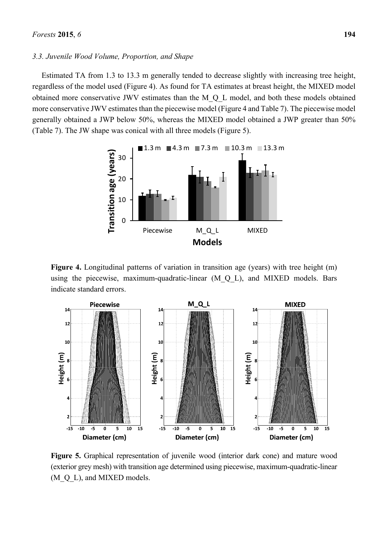### *3.3. Juvenile Wood Volume, Proportion, and Shape*

Estimated TA from 1.3 to 13.3 m generally tended to decrease slightly with increasing tree height, regardless of the model used (Figure 4). As found for TA estimates at breast height, the MIXED model obtained more conservative JWV estimates than the M\_Q\_L model, and both these models obtained more conservative JWV estimates than the piecewise model (Figure 4 and Table 7). The piecewise model generally obtained a JWP below 50%, whereas the MIXED model obtained a JWP greater than 50% (Table 7). The JW shape was conical with all three models (Figure 5).



Figure 4. Longitudinal patterns of variation in transition age (years) with tree height (m) using the piecewise, maximum-quadratic-linear (M\_Q\_L), and MIXED models. Bars indicate standard errors.



**Figure 5.** Graphical representation of juvenile wood (interior dark cone) and mature wood (exterior grey mesh) with transition age determined using piecewise, maximum-quadratic-linear (M\_Q\_L), and MIXED models.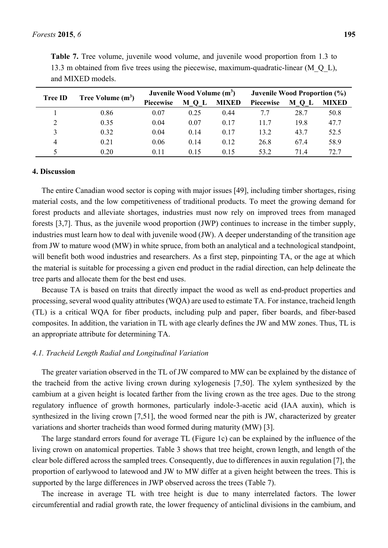| <b>Tree ID</b> | Tree Volume $(m^3)$ |                  | Juvenile Wood Volume (m <sup>3</sup> ) |              | Juvenile Wood Proportion (%) |                     |              |
|----------------|---------------------|------------------|----------------------------------------|--------------|------------------------------|---------------------|--------------|
|                |                     | <b>Piecewise</b> | M<br>ப                                 | <b>MIXED</b> | <b>Piecewise</b>             | M<br>$\mathbf{0}$ L | <b>MIXED</b> |
|                | 0.86                | 0.07             | 0.25                                   | 0.44         |                              | 28.7                | 50.8         |
|                | 0.35                | 0.04             | 0.07                                   | 0.17         | 117                          | 19.8                | 47.7         |
|                | 0.32                | 0.04             | 0.14                                   | 0.17         | 13.2                         | 43.7                | 52.5         |
| $\overline{4}$ | 0.21                | 0.06             | 0.14                                   | 0.12         | 26.8                         | 67.4                | 58.9         |
|                | 0.20                | 0.11             | 0.15                                   | 0.15         | 53.2                         | 714                 | 72 7         |

**Table 7.** Tree volume, juvenile wood volume, and juvenile wood proportion from 1.3 to 13.3 m obtained from five trees using the piecewise, maximum-quadratic-linear (M\_Q\_L), and MIXED models.

### **4. Discussion**

The entire Canadian wood sector is coping with major issues [49], including timber shortages, rising material costs, and the low competitiveness of traditional products. To meet the growing demand for forest products and alleviate shortages, industries must now rely on improved trees from managed forests [3,7]. Thus, as the juvenile wood proportion (JWP) continues to increase in the timber supply, industries must learn how to deal with juvenile wood (JW). A deeper understanding of the transition age from JW to mature wood (MW) in white spruce, from both an analytical and a technological standpoint, will benefit both wood industries and researchers. As a first step, pinpointing TA, or the age at which the material is suitable for processing a given end product in the radial direction, can help delineate the tree parts and allocate them for the best end uses.

Because TA is based on traits that directly impact the wood as well as end-product properties and processing, several wood quality attributes (WQA) are used to estimate TA. For instance, tracheid length (TL) is a critical WQA for fiber products, including pulp and paper, fiber boards, and fiber-based composites. In addition, the variation in TL with age clearly defines the JW and MW zones. Thus, TL is an appropriate attribute for determining TA.

# *4.1. Tracheid Length Radial and Longitudinal Variation*

The greater variation observed in the TL of JW compared to MW can be explained by the distance of the tracheid from the active living crown during xylogenesis [7,50]. The xylem synthesized by the cambium at a given height is located farther from the living crown as the tree ages. Due to the strong regulatory influence of growth hormones, particularly indole-3-acetic acid (IAA auxin), which is synthesized in the living crown [7,51], the wood formed near the pith is JW, characterized by greater variations and shorter tracheids than wood formed during maturity (MW) [3].

The large standard errors found for average TL (Figure 1c) can be explained by the influence of the living crown on anatomical properties. Table 3 shows that tree height, crown length, and length of the clear bole differed across the sampled trees. Consequently, due to differences in auxin regulation [7], the proportion of earlywood to latewood and JW to MW differ at a given height between the trees. This is supported by the large differences in JWP observed across the trees (Table 7).

The increase in average TL with tree height is due to many interrelated factors. The lower circumferential and radial growth rate, the lower frequency of anticlinal divisions in the cambium, and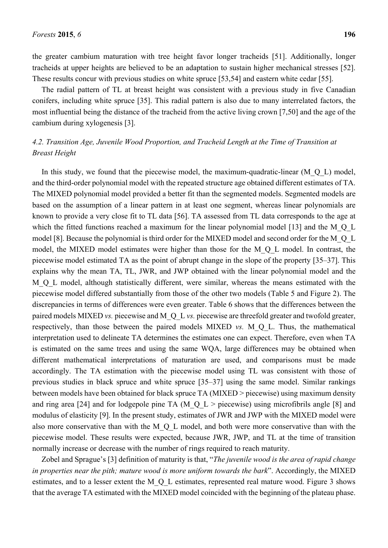the greater cambium maturation with tree height favor longer tracheids [51]. Additionally, longer tracheids at upper heights are believed to be an adaptation to sustain higher mechanical stresses [52]. These results concur with previous studies on white spruce [53,54] and eastern white cedar [55].

The radial pattern of TL at breast height was consistent with a previous study in five Canadian conifers, including white spruce [35]. This radial pattern is also due to many interrelated factors, the most influential being the distance of the tracheid from the active living crown [7,50] and the age of the cambium during xylogenesis [3].

# *4.2. Transition Age, Juvenile Wood Proportion, and Tracheid Length at the Time of Transition at Breast Height*

In this study, we found that the piecewise model, the maximum-quadratic-linear  $(MQL)$  model, and the third-order polynomial model with the repeated structure age obtained different estimates of TA. The MIXED polynomial model provided a better fit than the segmented models. Segmented models are based on the assumption of a linear pattern in at least one segment, whereas linear polynomials are known to provide a very close fit to TL data [56]. TA assessed from TL data corresponds to the age at which the fitted functions reached a maximum for the linear polynomial model [13] and the M\_Q\_L model [8]. Because the polynomial is third order for the MIXED model and second order for the M\_Q\_L model, the MIXED model estimates were higher than those for the M\_Q\_L model. In contrast, the piecewise model estimated TA as the point of abrupt change in the slope of the property [35–37]. This explains why the mean TA, TL, JWR, and JWP obtained with the linear polynomial model and the M\_O\_L model, although statistically different, were similar, whereas the means estimated with the piecewise model differed substantially from those of the other two models (Table 5 and Figure 2). The discrepancies in terms of differences were even greater. Table 6 shows that the differences between the paired models MIXED *vs.* piecewise and M\_Q\_L *vs.* piecewise are threefold greater and twofold greater, respectively, than those between the paired models MIXED *vs.* M\_Q\_L. Thus, the mathematical interpretation used to delineate TA determines the estimates one can expect. Therefore, even when TA is estimated on the same trees and using the same WQA, large differences may be obtained when different mathematical interpretations of maturation are used, and comparisons must be made accordingly. The TA estimation with the piecewise model using TL was consistent with those of previous studies in black spruce and white spruce [35–37] using the same model. Similar rankings between models have been obtained for black spruce TA (MIXED > piecewise) using maximum density and ring area [24] and for lodgepole pine TA (M\_Q L > piecewise) using microfibrils angle [8] and modulus of elasticity [9]. In the present study, estimates of JWR and JWP with the MIXED model were also more conservative than with the M\_Q\_L model, and both were more conservative than with the piecewise model. These results were expected, because JWR, JWP, and TL at the time of transition normally increase or decrease with the number of rings required to reach maturity.

Zobel and Sprague's [3] definition of maturity is that, "*The juvenile wood is the area of rapid change in properties near the pith; mature wood is more uniform towards the bark*". Accordingly, the MIXED estimates, and to a lesser extent the M\_Q\_L estimates, represented real mature wood. Figure 3 shows that the average TA estimated with the MIXED model coincided with the beginning of the plateau phase.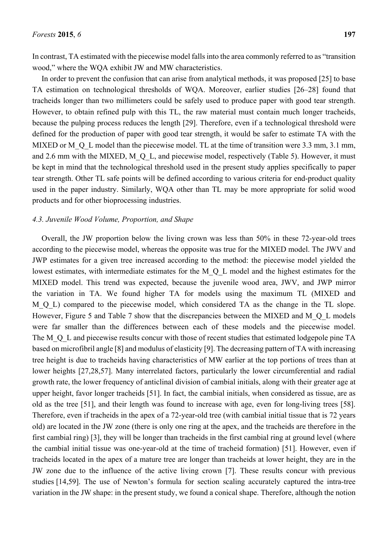In contrast, TA estimated with the piecewise model falls into the area commonly referred to as "transition wood," where the WQA exhibit JW and MW characteristics.

In order to prevent the confusion that can arise from analytical methods, it was proposed [25] to base TA estimation on technological thresholds of WQA. Moreover, earlier studies [26–28] found that tracheids longer than two millimeters could be safely used to produce paper with good tear strength. However, to obtain refined pulp with this TL, the raw material must contain much longer tracheids, because the pulping process reduces the length [29]. Therefore, even if a technological threshold were defined for the production of paper with good tear strength, it would be safer to estimate TA with the MIXED or M\_Q\_L model than the piecewise model. TL at the time of transition were 3.3 mm, 3.1 mm, and 2.6 mm with the MIXED, M\_Q\_L, and piecewise model, respectively (Table 5). However, it must be kept in mind that the technological threshold used in the present study applies specifically to paper tear strength. Other TL safe points will be defined according to various criteria for end-product quality used in the paper industry. Similarly, WQA other than TL may be more appropriate for solid wood products and for other bioprocessing industries.

### *4.3. Juvenile Wood Volume, Proportion, and Shape*

Overall, the JW proportion below the living crown was less than 50% in these 72-year-old trees according to the piecewise model, whereas the opposite was true for the MIXED model. The JWV and JWP estimates for a given tree increased according to the method: the piecewise model yielded the lowest estimates, with intermediate estimates for the M<sub>Q</sub><sup>L</sup> model and the highest estimates for the MIXED model. This trend was expected, because the juvenile wood area, JWV, and JWP mirror the variation in TA. We found higher TA for models using the maximum TL (MIXED and M\_O\_L) compared to the piecewise model, which considered TA as the change in the TL slope. However, Figure 5 and Table 7 show that the discrepancies between the MIXED and M Q L models were far smaller than the differences between each of these models and the piecewise model. The M<sub>Q</sub> L and piecewise results concur with those of recent studies that estimated lodgepole pine TA based on microfibril angle [8] and modulus of elasticity [9]. The decreasing pattern of TA with increasing tree height is due to tracheids having characteristics of MW earlier at the top portions of trees than at lower heights [27,28,57]. Many interrelated factors, particularly the lower circumferential and radial growth rate, the lower frequency of anticlinal division of cambial initials, along with their greater age at upper height, favor longer tracheids [51]. In fact, the cambial initials, when considered as tissue, are as old as the tree [51], and their length was found to increase with age, even for long-living trees [58]. Therefore, even if tracheids in the apex of a 72-year-old tree (with cambial initial tissue that is 72 years old) are located in the JW zone (there is only one ring at the apex, and the tracheids are therefore in the first cambial ring) [3], they will be longer than tracheids in the first cambial ring at ground level (where the cambial initial tissue was one-year-old at the time of tracheid formation) [51]. However, even if tracheids located in the apex of a mature tree are longer than tracheids at lower height, they are in the JW zone due to the influence of the active living crown [7]. These results concur with previous studies [14,59]. The use of Newton's formula for section scaling accurately captured the intra-tree variation in the JW shape: in the present study, we found a conical shape. Therefore, although the notion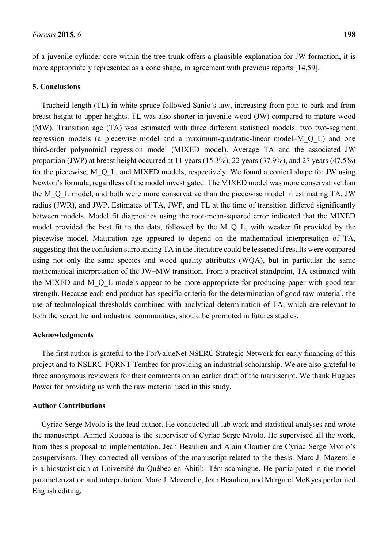of a juvenile cylinder core within the tree trunk offers a plausible explanation for JW formation, it is more appropriately represented as a cone shape, in agreement with previous reports [14,59].

### **5. Conclusions**

Tracheid length (TL) in white spruce followed Sanio's law, increasing from pith to bark and from breast height to upper heights. TL was also shorter in juvenile wood (JW) compared to mature wood (MW). Transition age (TA) was estimated with three different statistical models: two two-segment regression models (a piecewise model and a maximum-quadratic-linear model–M\_Q\_L) and one third-order polynomial regression model (MIXED model). Average TA and the associated JW proportion (JWP) at breast height occurred at 11 years (15.3%), 22 years (37.9%), and 27 years (47.5%) for the piecewise, M\_Q\_L, and MIXED models, respectively. We found a conical shape for JW using Newton's formula, regardless of the model investigated. The MIXED model was more conservative than the M\_Q\_L model, and both were more conservative than the piecewise model in estimating TA, JW radius (JWR), and JWP. Estimates of TA, JWP, and TL at the time of transition differed significantly between models. Model fit diagnostics using the root-mean-squared error indicated that the MIXED model provided the best fit to the data, followed by the M\_Q\_L, with weaker fit provided by the piecewise model. Maturation age appeared to depend on the mathematical interpretation of TA, suggesting that the confusion surrounding TA in the literature could be lessened if results were compared using not only the same species and wood quality attributes (WQA), but in particular the same mathematical interpretation of the JW–MW transition. From a practical standpoint, TA estimated with the MIXED and M\_Q\_L models appear to be more appropriate for producing paper with good tear strength. Because each end product has specific criteria for the determination of good raw material, the use of technological thresholds combined with analytical determination of TA, which are relevant to both the scientific and industrial communities, should be promoted in futures studies.

### **Acknowledgments**

The first author is grateful to the ForValueNet NSERC Strategic Network for early financing of this project and to NSERC-FQRNT-Tembec for providing an industrial scholarship. We are also grateful to three anonymous reviewers for their comments on an earlier draft of the manuscript. We thank Hugues Power for providing us with the raw material used in this study.

# **Author Contributions**

Cyriac Serge Mvolo is the lead author. He conducted all lab work and statistical analyses and wrote the manuscript. Ahmed Koubaa is the supervisor of Cyriac Serge Mvolo. He supervised all the work, from thesis proposal to implementation. Jean Beaulieu and Alain Cloutier are Cyriac Serge Mvolo's cosupervisors. They corrected all versions of the manuscript related to the thesis. Marc J. Mazerolle is a biostatistician at Université du Québec en Abitibi-Témiscamingue. He participated in the model parameterization and interpretation. Marc J. Mazerolle, Jean Beaulieu, and Margaret McKyes performed English editing.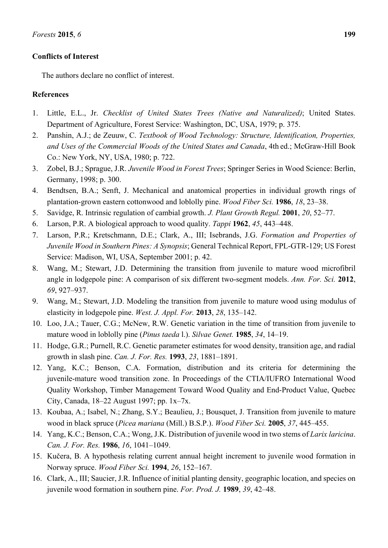# **Conflicts of Interest**

The authors declare no conflict of interest.

# **References**

- 1. Little, E.L., Jr. *Checklist of United States Trees (Native and Naturalized)*; United States. Department of Agriculture, Forest Service: Washington, DC, USA, 1979; p. 375.
- 2. Panshin, A.J.; de Zeuuw, C. *Textbook of Wood Technology: Structure, Identification, Properties, and Uses of the Commercial Woods of the United States and Canada*, 4th ed.; McGraw-Hill Book Co.: New York, NY, USA, 1980; p. 722.
- 3. Zobel, B.J.; Sprague, J.R. *Juvenile Wood in Forest Trees*; Springer Series in Wood Science: Berlin, Germany, 1998; p. 300.
- 4. Bendtsen, B.A.; Senft, J. Mechanical and anatomical properties in individual growth rings of plantation-grown eastern cottonwood and loblolly pine. *Wood Fiber Sci.* **1986**, *18*, 23–38.
- 5. Savidge, R. Intrinsic regulation of cambial growth. *J. Plant Growth Regul.* **2001**, *20*, 52–77.
- 6. Larson, P.R. A biological approach to wood quality. *Tappi* **1962**, *45*, 443–448.
- 7. Larson, P.R.; Kretschmann, D.E.; Clark, A., III; Isebrands, J.G. *Formation and Properties of Juvenile Wood in Southern Pines: A Synopsis*; General Technical Report, FPL-GTR-129; US Forest Service: Madison, WI, USA, September 2001; p. 42.
- 8. Wang, M.; Stewart, J.D. Determining the transition from juvenile to mature wood microfibril angle in lodgepole pine: A comparison of six different two-segment models. *Ann. For. Sci.* **2012**, *69*, 927–937.
- 9. Wang, M.; Stewart, J.D. Modeling the transition from juvenile to mature wood using modulus of elasticity in lodgepole pine. *West. J. Appl. For.* **2013**, *28*, 135–142.
- 10. Loo, J.A.; Tauer, C.G.; McNew, R.W. Genetic variation in the time of transition from juvenile to mature wood in loblolly pine (*Pinus taeda* l.). *Silvae Genet.* **1985**, *34*, 14–19.
- 11. Hodge, G.R.; Purnell, R.C. Genetic parameter estimates for wood density, transition age, and radial growth in slash pine. *Can. J. For. Res.* **1993**, *23*, 1881–1891.
- 12. Yang, K.C.; Benson, C.A. Formation, distribution and its criteria for determining the juvenile-mature wood transition zone. In Proceedings of the CTIA/IUFRO International Wood Quality Workshop, Timber Management Toward Wood Quality and End-Product Value, Quebec City, Canada, 18–22 August 1997; pp. 1x–7x.
- 13. Koubaa, A.; Isabel, N.; Zhang, S.Y.; Beaulieu, J.; Bousquet, J. Transition from juvenile to mature wood in black spruce (*Picea mariana* (Mill.) B.S.P.). *Wood Fiber Sci.* **2005**, *37*, 445–455.
- 14. Yang, K.C.; Benson, C.A.; Wong, J.K. Distribution of juvenile wood in two stems of *Larix laricina*. *Can. J. For. Res.* **1986**, *16*, 1041–1049.
- 15. Kučera, B. A hypothesis relating current annual height increment to juvenile wood formation in Norway spruce. *Wood Fiber Sci.* **1994**, *26*, 152–167.
- 16. Clark, A., III; Saucier, J.R. Influence of initial planting density, geographic location, and species on juvenile wood formation in southern pine. *For. Prod. J.* **1989**, *39*, 42–48.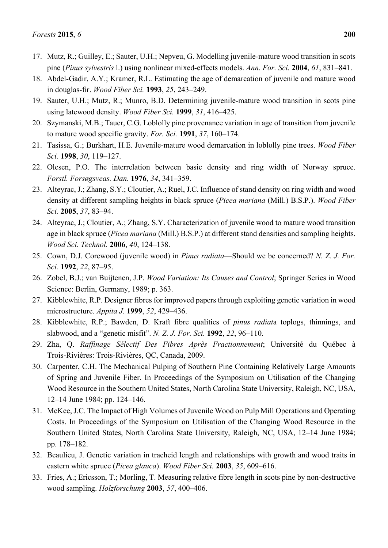- 18. Abdel-Gadir, A.Y.; Kramer, R.L. Estimating the age of demarcation of juvenile and mature wood in douglas-fir. *Wood Fiber Sci.* **1993**, *25*, 243–249.
- 19. Sauter, U.H.; Mutz, R.; Munro, B.D. Determining juvenile-mature wood transition in scots pine using latewood density. *Wood Fiber Sci.* **1999**, *31*, 416–425.
- 20. Szymanski, M.B.; Tauer, C.G. Loblolly pine provenance variation in age of transition from juvenile to mature wood specific gravity. *For. Sci.* **1991**, *37*, 160–174.
- 21. Tasissa, G.; Burkhart, H.E. Juvenile-mature wood demarcation in loblolly pine trees. *Wood Fiber Sci.* **1998**, *30*, 119–127.
- 22. Olesen, P.O. The interrelation between basic density and ring width of Norway spruce. *Forstl. Forsøgsveas. Dan.* **1976**, *34*, 341–359.
- 23. Alteyrac, J.; Zhang, S.Y.; Cloutier, A.; Ruel, J.C. Influence of stand density on ring width and wood density at different sampling heights in black spruce (*Picea mariana* (Mill.) B.S.P.). *Wood Fiber Sci.* **2005**, *37*, 83–94.
- 24. Alteyrac, J.; Cloutier, A.; Zhang, S.Y. Characterization of juvenile wood to mature wood transition age in black spruce (*Picea mariana* (Mill.) B.S.P.) at different stand densities and sampling heights. *Wood Sci. Technol.* **2006**, *40*, 124–138.
- 25. Cown, D.J. Corewood (juvenile wood) in *Pinus radiata*—Should we be concerned? *N. Z. J. For. Sci.* **1992**, *22*, 87–95.
- 26. Zobel, B.J.; van Buijtenen, J.P. *Wood Variation: Its Causes and Control*; Springer Series in Wood Science: Berlin, Germany, 1989; p. 363.
- 27. Kibblewhite, R.P. Designer fibres for improved papers through exploiting genetic variation in wood microstructure. *Appita J.* **1999**, *52*, 429–436.
- 28. Kibblewhite, R.P.; Bawden, D. Kraft fibre qualities of *pinus radiat*a toplogs, thinnings, and slabwood, and a "genetic misfit". *N. Z. J. For. Sci.* **1992**, *22*, 96–110.
- 29. Zha, Q. *Raffinage Sélectif Des Fibres Après Fractionnement*; Université du Québec à Trois-Rivières: Trois-Rivières, QC, Canada, 2009.
- 30. Carpenter, C.H. The Mechanical Pulping of Southern Pine Containing Relatively Large Amounts of Spring and Juvenile Fiber. In Proceedings of the Symposium on Utilisation of the Changing Wood Resource in the Southern United States, North Carolina State University, Raleigh, NC, USA, 12–14 June 1984; pp. 124–146.
- 31. McKee, J.C. The Impact of High Volumes of Juvenile Wood on Pulp Mill Operations and Operating Costs. In Proceedings of the Symposium on Utilisation of the Changing Wood Resource in the Southern United States, North Carolina State University, Raleigh, NC, USA, 12–14 June 1984; pp. 178–182.
- 32. Beaulieu, J. Genetic variation in tracheid length and relationships with growth and wood traits in eastern white spruce (*Picea glauca*). *Wood Fiber Sci.* **2003**, *35*, 609–616.
- 33. Fries, A.; Ericsson, T.; Morling, T. Measuring relative fibre length in scots pine by non-destructive wood sampling. *Holzforschung* **2003**, *57*, 400–406.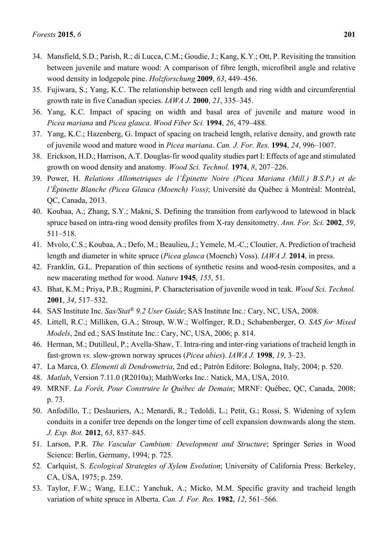- 34. Mansfield, S.D.; Parish, R.; di Lucca, C.M.; Goudie, J.; Kang, K.Y.; Ott, P. Revisiting the transition between juvenile and mature wood: A comparison of fibre length, microfibril angle and relative wood density in lodgepole pine. *Holzforschung* **2009**, *63*, 449–456.
- 35. Fujiwara, S.; Yang, K.C. The relationship between cell length and ring width and circumferential growth rate in five Canadian species. *IAWA J.* **2000**, *21*, 335–345.
- 36. Yang, K.C. Impact of spacing on width and basal area of juvenile and mature wood in *Picea mariana* and *Picea glauca*. *Wood Fiber Sci.* **1994**, *26*, 479–488.
- 37. Yang, K.C.; Hazenberg, G. Impact of spacing on tracheid length, relative density, and growth rate of juvenile wood and mature wood in *Picea mariana*. *Can. J. For. Res.* **1994**, *24*, 996–1007.
- 38. Erickson, H.D.; Harrison, A.T. Douglas-fir wood quality studies part I: Effects of age and stimulated growth on wood density and anatomy. *Wood Sci. Technol.* **1974**, *8*, 207–226.
- 39. Power, H. *Relations Allometriques de l'Épinette Noire (Picea Mariana (Mill.) B.S.P.) et de l'Épinette Blanche (Picea Glauca (Moench) Voss)*; Université du Québec à Montréal: Montréal, QC, Canada, 2013.
- 40. Koubaa, A.; Zhang, S.Y.; Makni, S. Defining the transition from earlywood to latewood in black spruce based on intra-ring wood density profiles from X-ray densitometry. *Ann. For. Sci.* **2002**, *59*, 511–518.
- 41. Mvolo, C.S.; Koubaa, A.; Defo, M.; Beaulieu, J.; Yemele, M.-C.; Cloutier, A. Prediction of tracheid length and diameter in white spruce (*Picea glauca* (Moench) Voss). *IAWA J.* **2014**, in press.
- 42. Franklin, G.L. Preparation of thin sections of synthetic resins and wood-resin composites, and a new macerating method for wood. *Nature* **1945**, *155*, 51.
- 43. Bhat, K.M.; Priya, P.B.; Rugmini, P. Characterisation of juvenile wood in teak. *Wood Sci. Technol.* **2001**, *34*, 517–532.
- 44. SAS Institute Inc. *Sas/Stat® 9.2 User Guide*; SAS Institute Inc.: Cary, NC, USA, 2008.
- 45. Littell, R.C.; Milliken, G.A.; Stroup, W.W.; Wolfinger, R.D.; Schabenberger, O. *SAS for Mixed Models*, 2nd ed.; SAS Institute Inc.: Cary, NC, USA, 2006; p. 814.
- 46. Herman, M.; Dutilleul, P.; Avella-Shaw, T. Intra-ring and inter-ring variations of tracheid length in fast-grown *vs.* slow-grown norway spruces (*Picea abies*). *IAWA J.* **1998**, *19*, 3–23.
- 47. La Marca, O. *Elementi di Dendrometria*, 2nd ed.; Patròn Editore: Bologna, Italy, 2004; p. 520.
- 48. *Matlab*, Version 7.11.0 (R2010a); MathWorks Inc.: Natick, MA, USA, 2010.
- 49. MRNF. *La Forêt, Pour Construire le Québec de Demain*; MRNF: Québec, QC, Canada, 2008; p. 73.
- 50. Anfodillo, T.; Deslauriers, A.; Menardi, R.; Tedoldi, L.; Petit, G.; Rossi, S. Widening of xylem conduits in a conifer tree depends on the longer time of cell expansion downwards along the stem. *J. Exp. Bot.* **2012**, *63*, 837–845.
- 51. Larson, P.R. *The Vascular Cambium: Development and Structure*; Springer Series in Wood Science: Berlin, Germany, 1994; p. 725.
- 52. Carlquist, S. *Ecological Strategies of Xylem Evolution*; University of California Press: Berkeley, CA, USA, 1975; p. 259.
- 53. Taylor, F.W.; Wang, E.I.C.; Yanchuk, A.; Micko, M.M. Specific gravity and tracheid length variation of white spruce in Alberta. *Can. J. For. Res.* **1982**, *12*, 561–566.